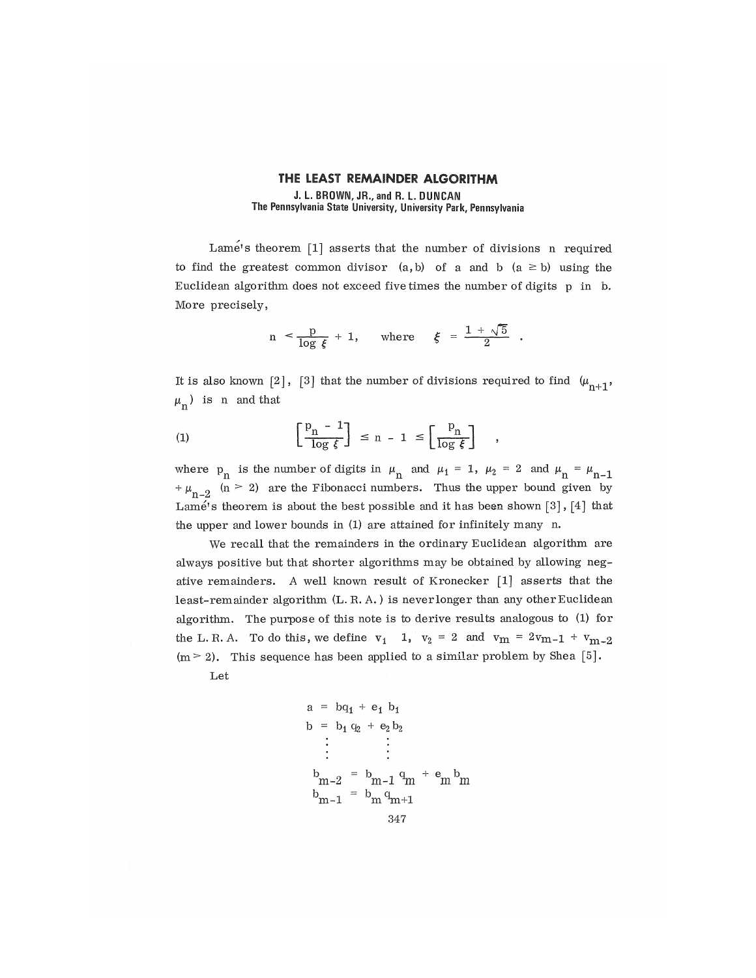## **THE** LEAST REMAINDER ALGORITHM J. L. BROWN, JR., and R. L. DUNCAN The Pennsylvania State University, University Park, Pennsylvania

Lame's theorem [1] asserts that the number of divisions n required to find the greatest common divisor  $(a, b)$  of a and b  $(a \ge b)$  using the Euclidean algorithm does not exceed five times the number of digits p in b. More precisely,

$$
n \leq \frac{p}{\log \xi} + 1, \quad \text{where} \quad \xi = \frac{1 + \sqrt{5}}{2} .
$$

It is also known [2], [3] that the number of divisions required to find  $(\mu_{n+1},$  $\mu_n$ ) is n and that

$$
(1) \qquad \qquad \left[\frac{p_n - 1}{\log \xi}\right] \le n - 1 \le \left[\frac{p_n}{\log \xi}\right]
$$

where  $p_n$  is the number of digits in  $\mu_n$  and  $\mu_1 = 1$ ,  $\mu_2 = 2$  and  $\mu_n = \mu_{n-1}$  $+\mu_{n-2}$  (n > 2) are the Fibonacci numbers. Thus the upper bound given by Lame's theorem is about the best possible and it has been shown [3], [4] that the upper and lower bounds in (1) are attained for infinitely many n.

We recall that the remainders in the ordinary Euclidean algorithm are always positive but that shorter algorithms may be obtained by allowing negative remainders. A well known result of Kronecker [1] asserts that the least-remainder algorithm (L. R. A.) is never longer than any other Euclidean algorithm. The purpose of this note is to derive results analogous to (1) for the L. R. A. To do this, we define  $v_1$  1,  $v_2 = 2$  and  $v_m = 2v_{m-1} + v_{m-2}$  $(m > 2)$ . This sequence has been applied to a similar problem by Shea [5].

Let

$$
a = bq_1 + e_1 b_1
$$
  
\n
$$
b = b_1 q_2 + e_2 b_2
$$
  
\n
$$
\vdots \qquad \vdots
$$
  
\n
$$
b_{m-2} = b_{m-1} q_m + e_m b_m
$$
  
\n
$$
b_{m-1} = b_m q_{m+1}
$$
  
\n
$$
347
$$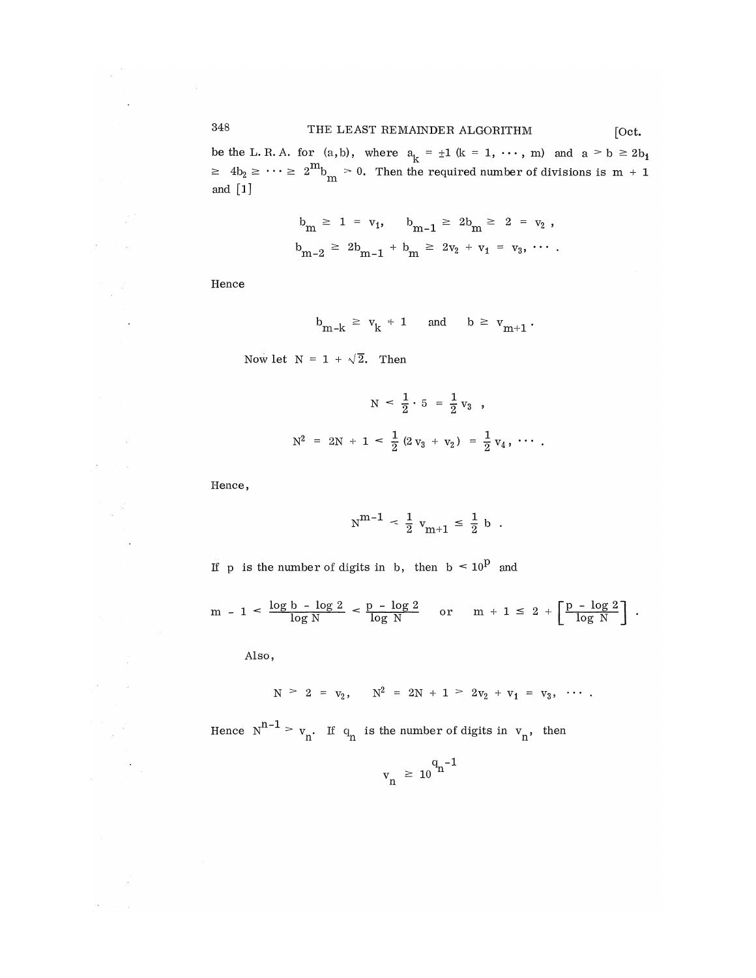be the L. R. A. for (a,b), where  $a_{r} = \pm 1$  (k = 1,  $\cdots$ , m) and a  $> b \geq 2b_{1}$  $\geq 4b_2 \geq \cdots \geq 2^m b_m > 0$ . Then the required number of divisions is m + 1 and [1]

$$
b_{m} \ge 1 = v_{1}, \quad b_{m-1} \ge 2b_{m} \ge 2 = v_{2},
$$
  

$$
b_{m-2} \ge 2b_{m-1} + b_{m} \ge 2v_{2} + v_{1} = v_{3}, \cdots.
$$

Hence

$$
b_{m-k} \ge v_k + 1 \quad \text{and} \quad b \ge v_{m+1}
$$

Now let  $N = 1 + \sqrt{2}$ . Then

$$
N < \frac{1}{2} \cdot 5 = \frac{1}{2} v_3 ,
$$
\n
$$
N^2 = 2N + 1 < \frac{1}{2} (2 v_3 + v_2) = \frac{1}{2} v_4 , \cdots .
$$

Hence,

$$
N^{m-1} \, < \, \frac{1}{2} \, v_{m+1} \, \le \, \frac{1}{2} \, b \, .
$$

If p is the number of digits in b, then  $b < 10^p$  and

$$
m - 1 < \frac{\log b - \log 2}{\log N} < \frac{p - \log 2}{\log N} \quad \text{or} \quad m + 1 \leq 2 + \left[ \frac{p - \log 2}{\log N} \right].
$$

Also,

 $\mathcal{A}=\mathcal{A}(\mathcal{A})$ 

$$
N > 2 = v_2
$$
,  $N^2 = 2N + 1 > 2v_2 + v_1 = v_3$ , ...

Hence  $N^{n^*} > v_n$ . If  $q_n$  is the number of digits in  $v_n$ , then

$$
v_n \geq 10^{q_n - 1}
$$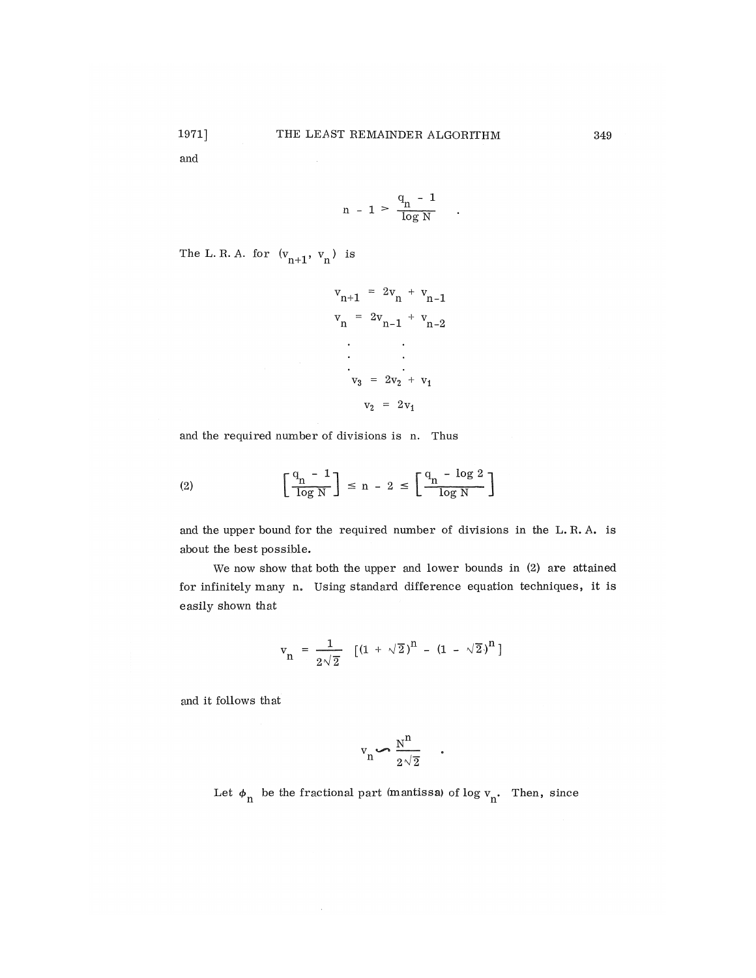and

$$
n - 1 > \frac{q_n - 1}{\log N}
$$

The L. R. A. for  $(v_{n+1}, v_n)$  is

$$
v_{n+1} = 2v_{n} + v_{n-1}
$$
  
\n
$$
v_{n} = 2v_{n-1} + v_{n-2}
$$
  
\n...  
\n
$$
v_{3} = 2v_{2} + v_{1}
$$
  
\n
$$
v_{2} = 2v_{1}
$$

and the required number of divisions is n. Thus

 $\sim$ 

$$
(2) \qquad \left[\frac{q_n - 1}{\log N}\right] \le n - 2 \le \left[\frac{q_n - \log 2}{\log N}\right]
$$

and the upper bound for the required number of divisions in the L. R. A. is about the best possible.

We now show that both the upper and lower bounds in (2) are attained for infinitely many n, Using standard difference equation techniques, it is easily shown that

$$
v_n = \frac{1}{2\sqrt{2}} \left[ (1 + \sqrt{2})^n - (1 - \sqrt{2})^n \right]
$$

and it follows that

$$
\mathbf{v}_{\mathbf{n}} \leftarrow \frac{\mathbf{N}^{\mathbf{n}}}{2\sqrt{2}}
$$

 $\bullet$ 

Let  $\phi_n$  be the fractional part (mantissa) of log v<sub>n</sub>. Then, since